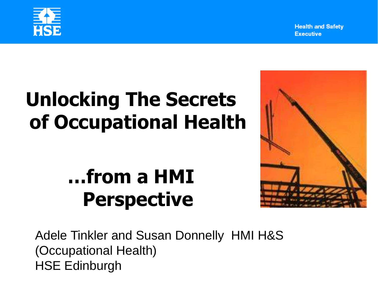

## **Unlocking The Secrets of Occupational Health**

## **…from a HMI Perspective**

Adele Tinkler and Susan Donnelly HMI H&S (Occupational Health) HSE Edinburgh

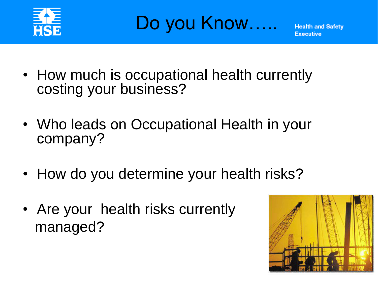

Do you Know.....

- How much is occupational health currently costing your business?
- Who leads on Occupational Health in your company?
- How do you determine your health risks?
- Are your health risks currently managed?

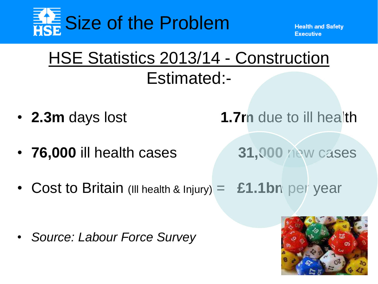

### HSE Statistics 2013/14 - Construction Estimated:-

- **2.3m** days lost **1.7m** due to ill health
- **76,000** ill health cases **31,000** new cases
- -
- Cost to Britain (Ill health & Injury) = **£1.1bn** per year

• Source: Labour Force Survey

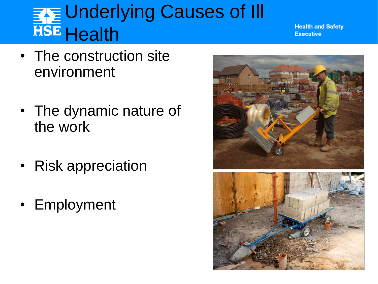### **EXE Underlying Causes of III HSE** Health

- The construction site environment
- The dynamic nature of the work
- Risk appreciation
- Employment

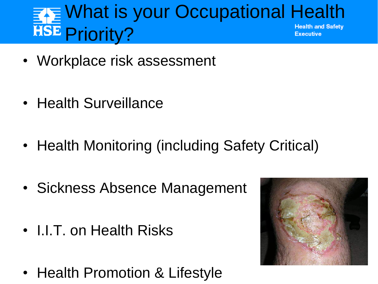#### <sub>k≣</sub> What is your Occupational Health **HSE Priority? Health and Safety** Executive

- Workplace risk assessment
- Health Surveillance
- Health Monitoring (including Safety Critical)
- Sickness Absence Management
- **I.I.T. on Health Risks**
- Health Promotion & Lifestyle

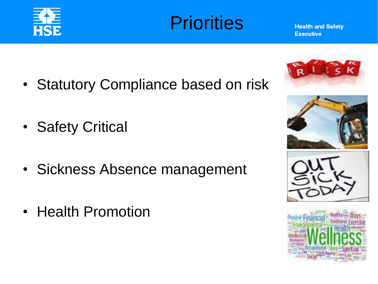

### **Priorities**

- Statutory Compliance based on risk
- Safety Critical
- Sickness Absence management
- Health Promotion







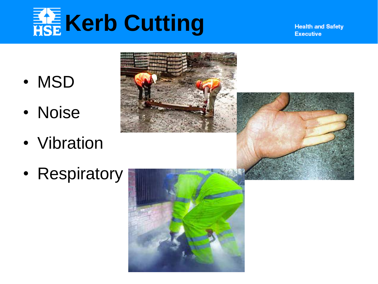# **Kerb Cutting**

- MSD
- Noise
- Vibration
- Respiratory

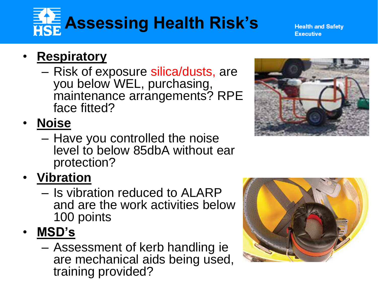## **Assessing Health Risk's**

**Health and Safety** Executive

### • **Respiratory**

– Risk of exposure silica/dusts, are you below WEL, purchasing, maintenance arrangements? RPE face fitted?

• **Noise**

- Have you controlled the noise level to below 85dbA without ear protection?
- **Vibration**
	- Is vibration reduced to ALARP and are the work activities below 100 points
- **MSD's**
	- Assessment of kerb handling ie are mechanical aids being used, training provided?



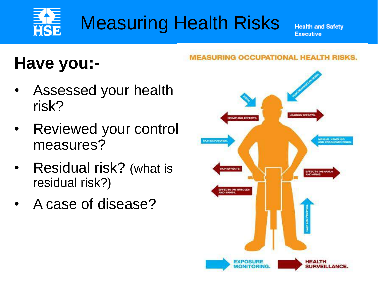### Measuring Health Risks HSE

**Health and Safety Executive** 

### **Have you:-**

- Assessed your health risk?
- Reviewed your control measures?
- Residual risk? (what is residual risk?)
- A case of disease?

#### **MEASURING OCCUPATIONAL HEALTH RISKS.**

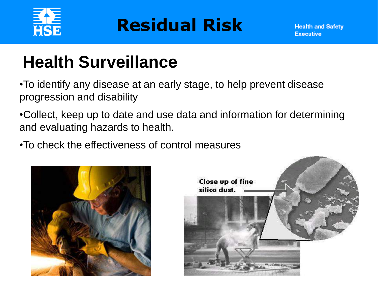

### **Residual Risk**

### **Health Surveillance**

•To identify any disease at an early stage, to help prevent disease progression and disability

•Collect, keep up to date and use data and information for determining and evaluating hazards to health.

•To check the effectiveness of control measures



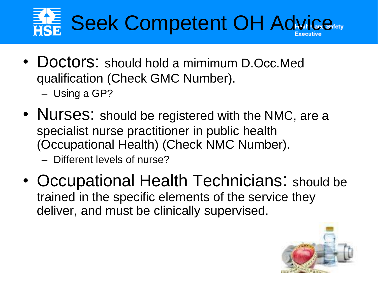## **FAE Seek Competent OH Advice Advice**

- Doctors: should hold a mimimum D.Occ.Med qualification (Check GMC Number).
	- Using a GP?
- Nurses: should be registered with the NMC, are a specialist nurse practitioner in public health (Occupational Health) (Check NMC Number).
	- Different levels of nurse?
- Occupational Health Technicians: should be trained in the specific elements of the service they deliver, and must be clinically supervised.

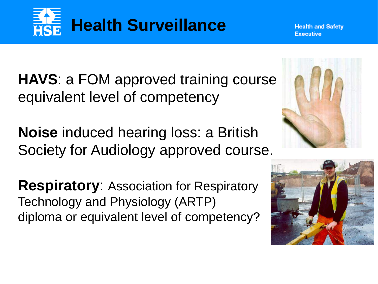

**HAVS**: a FOM approved training course equivalent level of competency

**Noise** induced hearing loss: a British Society for Audiology approved course.

**Respiratory**: Association for Respiratory Technology and Physiology (ARTP) diploma or equivalent level of competency?



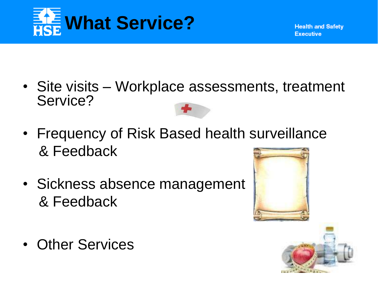

- Site visits Workplace assessments, treatment Service?
- Frequency of Risk B[ased he](http://www.google.co.in/url?url=http://www.polyvore.com/nurse_hat_small_costume_hats/thing?id=32403727&rct=j&frm=1&q=&esrc=s&sa=U&ei=rtVYVOr2KdbdsATg-YDwDw&ved=0CB0Q9QEwBA&usg=AFQjCNFgiL35CoDlhIxywPFtUfZx19U10g)alth surveillance & Feedback
- Sickness absence management & Feedback



• Other Services

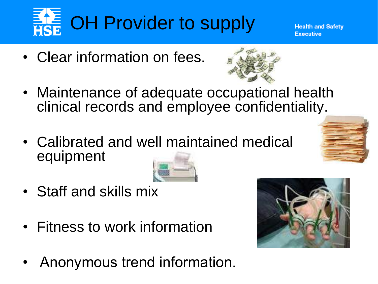

• Clear information on fees.



- Maintenance of adequate occupational health clinical records and employee confidentialit[y.](http://www.google.co.in/url?url=http://www.cypressridgesolutions.com/compliance-tip-8-access-to-personnel-files/&rct=j&frm=1&q=&esrc=s&sa=U&ei=GdhYVM_5JOfdsAT_xYGgBQ&ved=0CBsQ9QEwAw&usg=AFQjCNEjVWdTlNKLwJFW9v2Kn0_6-vnY3w)
- Calibrated and w[ell main](http://www.google.co.in/url?url=http://www.nlm.nih.gov/medlineplus/ency/imagepages/1142.htm&rct=j&frm=1&q=&esrc=s&sa=U&ei=Z9hYVPahC-jIsATD0oKADw&ved=0CBkQ9QEwAQ&usg=AFQjCNEio0c-OkyX1EJfK5_nGQuDxry5aw)tained medical equipment
- Staff and skills mix
- Fitness to work information
- Anonymous trend information.

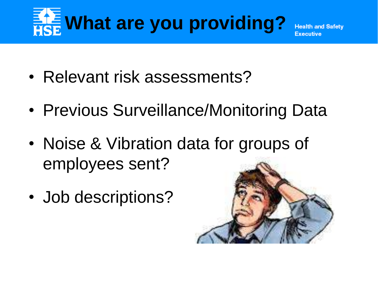## **Et What are you providing?**

**Health and Safety** 

- Relevant risk assessments?
- Previous Surveillance/Monitoring Data
- Noise & Vibration data for groups of employees sent?
- Job descriptions?

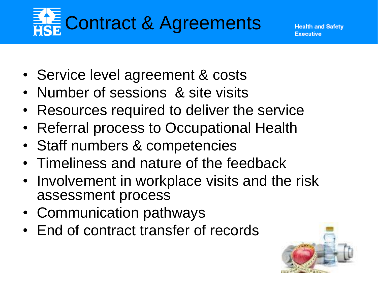## **Ethe Contract & Agreements**

- Service level agreement & costs
- Number of sessions & site visits
- Resources required to deliver the service
- Referral process to Occupational Health
- Staff numbers & competencies
- Timeliness and nature of the feedback
- Involvement in workplace visits and the risk assessment process
- Communication pathways
- End of contract transfer of records

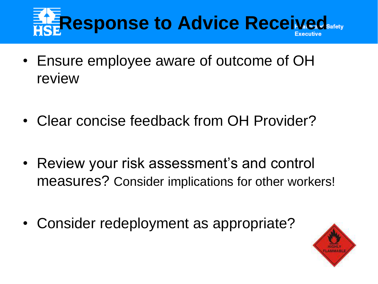## **Response to Advice Received**

- Ensure employee aware of outcome of OH review
- Clear concise feedback from OH Provider?
- Review your risk assessment's and control measures? Consider implications for other workers!
- Consider redeployment as appropriate?

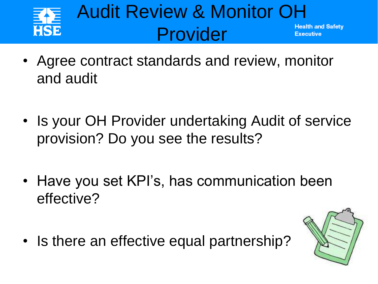

- Agree contract standards and review, monitor and audit
- Is your OH Provider undertaking Audit of service provision? Do you see the results?
- Have you set KPI's, has communication been effective?
- Is there an effective equal partnership?

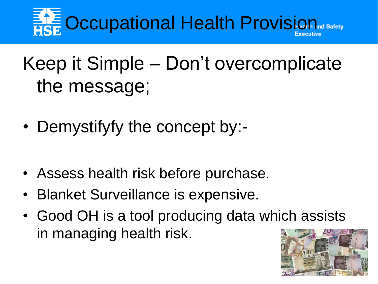## **Et E** Occupational Health Provision of Safety

## Keep it Simple – Don't overcomplicate the message;

- Demystifyfy the concept by:-
- Assess health risk before purchase.
- Blanket Surveillance is expensive.
- Good OH is a tool producing data which assists in managing health risk.

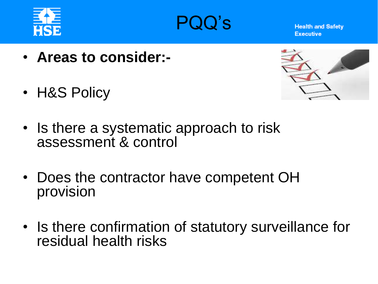



- **Areas to consider:-**
- H&S Policy



- Is there a systematic approach to risk assessment & control
- Does the contractor have competent OH provision
- Is there confirmation of statutory surveillance for residual health risks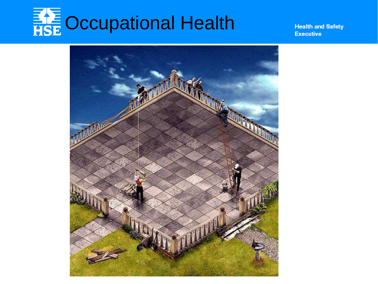# **THE Occupational Health**